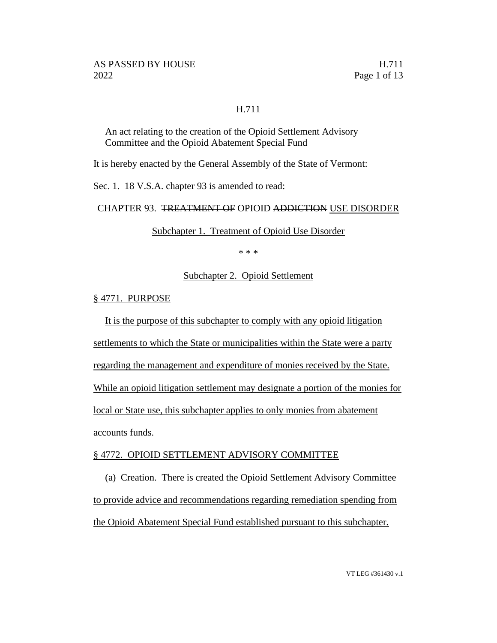### H.711

An act relating to the creation of the Opioid Settlement Advisory Committee and the Opioid Abatement Special Fund

It is hereby enacted by the General Assembly of the State of Vermont:

Sec. 1. 18 V.S.A. chapter 93 is amended to read:

### CHAPTER 93. TREATMENT OF OPIOID ADDICTION USE DISORDER

Subchapter 1. Treatment of Opioid Use Disorder

\* \* \*

### Subchapter 2. Opioid Settlement

### § 4771. PURPOSE

It is the purpose of this subchapter to comply with any opioid litigation

settlements to which the State or municipalities within the State were a party

regarding the management and expenditure of monies received by the State.

While an opioid litigation settlement may designate a portion of the monies for

local or State use, this subchapter applies to only monies from abatement

accounts funds.

# § 4772. OPIOID SETTLEMENT ADVISORY COMMITTEE

(a) Creation. There is created the Opioid Settlement Advisory Committee to provide advice and recommendations regarding remediation spending from the Opioid Abatement Special Fund established pursuant to this subchapter.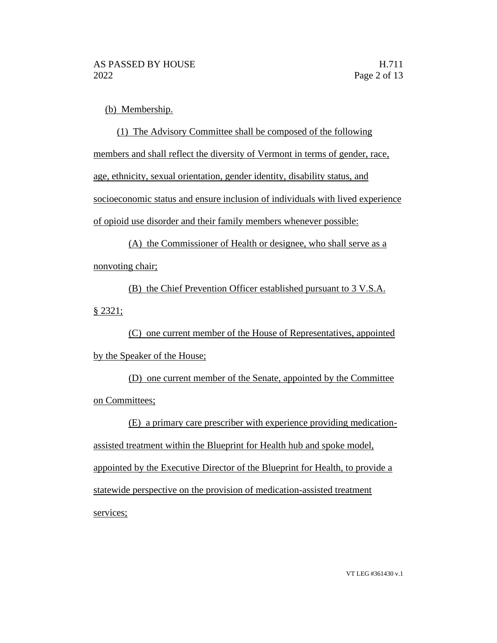(b) Membership.

(1) The Advisory Committee shall be composed of the following members and shall reflect the diversity of Vermont in terms of gender, race, age, ethnicity, sexual orientation, gender identity, disability status, and socioeconomic status and ensure inclusion of individuals with lived experience of opioid use disorder and their family members whenever possible:

(A) the Commissioner of Health or designee, who shall serve as a nonvoting chair;

(B) the Chief Prevention Officer established pursuant to 3 V.S.A. § 2321;

(C) one current member of the House of Representatives, appointed by the Speaker of the House;

(D) one current member of the Senate, appointed by the Committee on Committees;

(E) a primary care prescriber with experience providing medicationassisted treatment within the Blueprint for Health hub and spoke model, appointed by the Executive Director of the Blueprint for Health, to provide a statewide perspective on the provision of medication-assisted treatment services;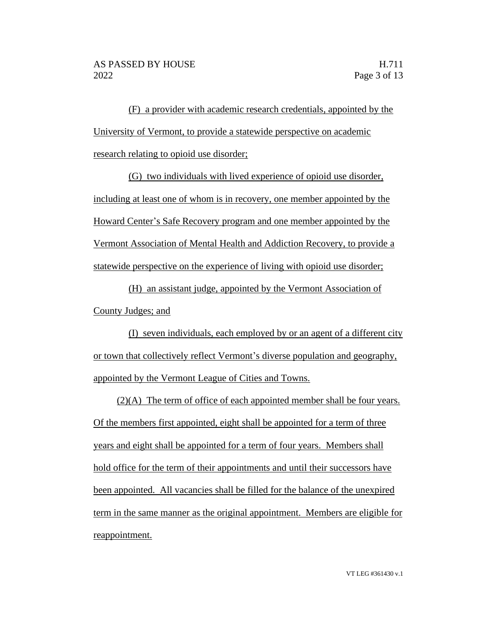(F) a provider with academic research credentials, appointed by the University of Vermont, to provide a statewide perspective on academic research relating to opioid use disorder;

(G) two individuals with lived experience of opioid use disorder, including at least one of whom is in recovery, one member appointed by the Howard Center's Safe Recovery program and one member appointed by the Vermont Association of Mental Health and Addiction Recovery, to provide a statewide perspective on the experience of living with opioid use disorder;

(H) an assistant judge, appointed by the Vermont Association of County Judges; and

(I) seven individuals, each employed by or an agent of a different city or town that collectively reflect Vermont's diverse population and geography, appointed by the Vermont League of Cities and Towns.

(2)(A) The term of office of each appointed member shall be four years. Of the members first appointed, eight shall be appointed for a term of three years and eight shall be appointed for a term of four years. Members shall hold office for the term of their appointments and until their successors have been appointed. All vacancies shall be filled for the balance of the unexpired term in the same manner as the original appointment. Members are eligible for reappointment.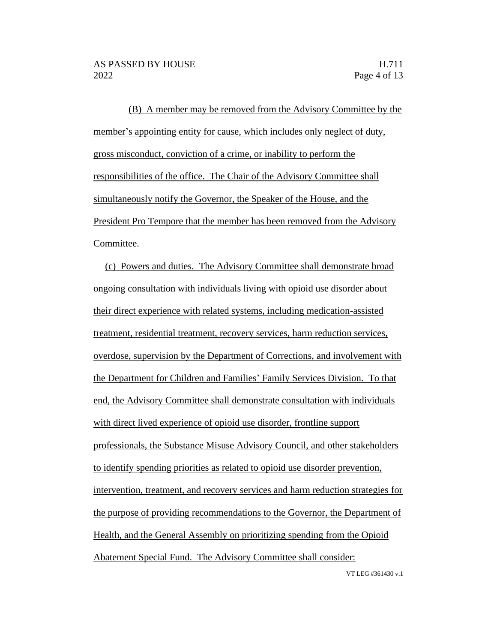(B) A member may be removed from the Advisory Committee by the member's appointing entity for cause, which includes only neglect of duty, gross misconduct, conviction of a crime, or inability to perform the responsibilities of the office. The Chair of the Advisory Committee shall simultaneously notify the Governor, the Speaker of the House, and the President Pro Tempore that the member has been removed from the Advisory Committee.

(c) Powers and duties. The Advisory Committee shall demonstrate broad ongoing consultation with individuals living with opioid use disorder about their direct experience with related systems, including medication-assisted treatment, residential treatment, recovery services, harm reduction services, overdose, supervision by the Department of Corrections, and involvement with the Department for Children and Families' Family Services Division. To that end, the Advisory Committee shall demonstrate consultation with individuals with direct lived experience of opioid use disorder, frontline support professionals, the Substance Misuse Advisory Council, and other stakeholders to identify spending priorities as related to opioid use disorder prevention, intervention, treatment, and recovery services and harm reduction strategies for the purpose of providing recommendations to the Governor, the Department of Health, and the General Assembly on prioritizing spending from the Opioid Abatement Special Fund. The Advisory Committee shall consider: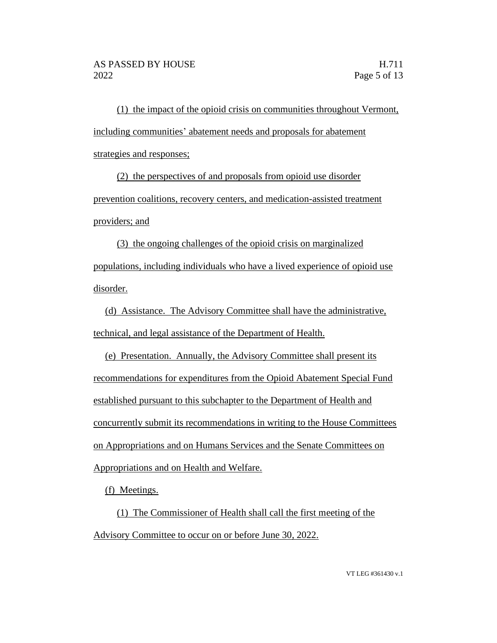(1) the impact of the opioid crisis on communities throughout Vermont, including communities' abatement needs and proposals for abatement strategies and responses;

(2) the perspectives of and proposals from opioid use disorder prevention coalitions, recovery centers, and medication-assisted treatment providers; and

(3) the ongoing challenges of the opioid crisis on marginalized populations, including individuals who have a lived experience of opioid use disorder.

(d) Assistance. The Advisory Committee shall have the administrative, technical, and legal assistance of the Department of Health.

(e) Presentation. Annually, the Advisory Committee shall present its recommendations for expenditures from the Opioid Abatement Special Fund established pursuant to this subchapter to the Department of Health and concurrently submit its recommendations in writing to the House Committees on Appropriations and on Humans Services and the Senate Committees on Appropriations and on Health and Welfare.

(f) Meetings.

(1) The Commissioner of Health shall call the first meeting of the Advisory Committee to occur on or before June 30, 2022.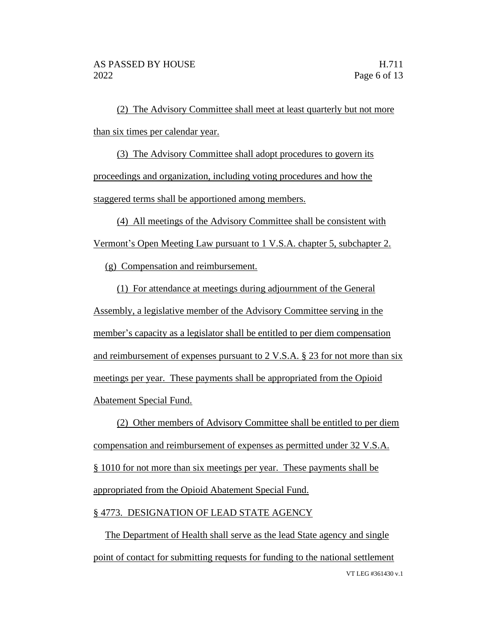(2) The Advisory Committee shall meet at least quarterly but not more than six times per calendar year.

(3) The Advisory Committee shall adopt procedures to govern its proceedings and organization, including voting procedures and how the staggered terms shall be apportioned among members.

(4) All meetings of the Advisory Committee shall be consistent with Vermont's Open Meeting Law pursuant to 1 V.S.A. chapter 5, subchapter 2.

(g) Compensation and reimbursement.

(1) For attendance at meetings during adjournment of the General Assembly, a legislative member of the Advisory Committee serving in the member's capacity as a legislator shall be entitled to per diem compensation and reimbursement of expenses pursuant to 2 V.S.A. § 23 for not more than six meetings per year. These payments shall be appropriated from the Opioid Abatement Special Fund.

(2) Other members of Advisory Committee shall be entitled to per diem compensation and reimbursement of expenses as permitted under 32 V.S.A. § 1010 for not more than six meetings per year. These payments shall be appropriated from the Opioid Abatement Special Fund.

# § 4773. DESIGNATION OF LEAD STATE AGENCY

VT LEG #361430 v.1 The Department of Health shall serve as the lead State agency and single point of contact for submitting requests for funding to the national settlement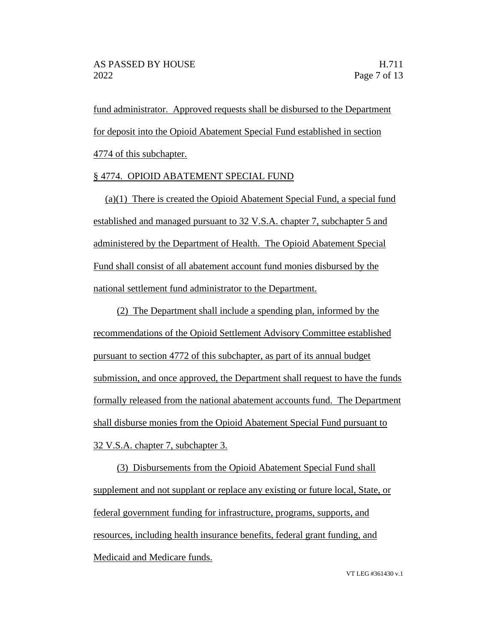fund administrator. Approved requests shall be disbursed to the Department for deposit into the Opioid Abatement Special Fund established in section 4774 of this subchapter.

# § 4774. OPIOID ABATEMENT SPECIAL FUND

(a)(1) There is created the Opioid Abatement Special Fund, a special fund established and managed pursuant to 32 V.S.A. chapter 7, subchapter 5 and administered by the Department of Health. The Opioid Abatement Special Fund shall consist of all abatement account fund monies disbursed by the national settlement fund administrator to the Department.

(2) The Department shall include a spending plan, informed by the recommendations of the Opioid Settlement Advisory Committee established pursuant to section 4772 of this subchapter, as part of its annual budget submission, and once approved, the Department shall request to have the funds formally released from the national abatement accounts fund. The Department shall disburse monies from the Opioid Abatement Special Fund pursuant to 32 V.S.A. chapter 7, subchapter 3.

(3) Disbursements from the Opioid Abatement Special Fund shall supplement and not supplant or replace any existing or future local, State, or federal government funding for infrastructure, programs, supports, and resources, including health insurance benefits, federal grant funding, and Medicaid and Medicare funds.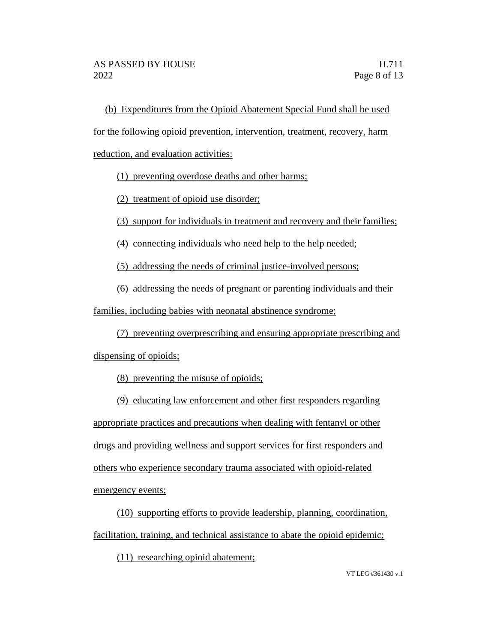(b) Expenditures from the Opioid Abatement Special Fund shall be used for the following opioid prevention, intervention, treatment, recovery, harm reduction, and evaluation activities:

(1) preventing overdose deaths and other harms;

(2) treatment of opioid use disorder;

(3) support for individuals in treatment and recovery and their families;

(4) connecting individuals who need help to the help needed;

(5) addressing the needs of criminal justice-involved persons;

(6) addressing the needs of pregnant or parenting individuals and their

families, including babies with neonatal abstinence syndrome;

(7) preventing overprescribing and ensuring appropriate prescribing and dispensing of opioids;

(8) preventing the misuse of opioids;

(9) educating law enforcement and other first responders regarding appropriate practices and precautions when dealing with fentanyl or other drugs and providing wellness and support services for first responders and others who experience secondary trauma associated with opioid-related emergency events;

(10) supporting efforts to provide leadership, planning, coordination, facilitation, training, and technical assistance to abate the opioid epidemic;

(11) researching opioid abatement;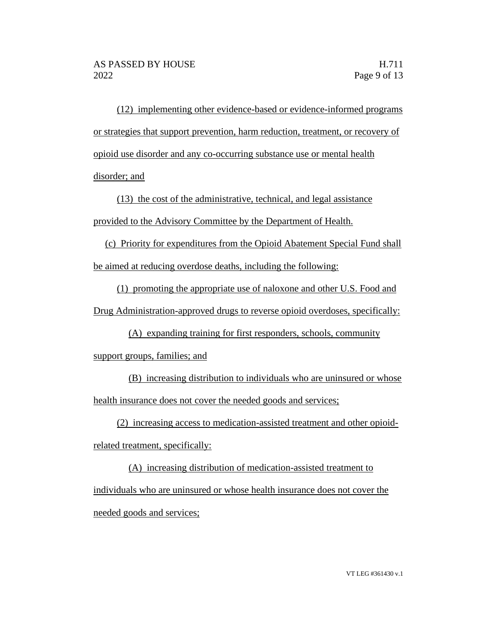(12) implementing other evidence-based or evidence-informed programs or strategies that support prevention, harm reduction, treatment, or recovery of opioid use disorder and any co-occurring substance use or mental health disorder; and

(13) the cost of the administrative, technical, and legal assistance provided to the Advisory Committee by the Department of Health.

(c) Priority for expenditures from the Opioid Abatement Special Fund shall be aimed at reducing overdose deaths, including the following:

(1) promoting the appropriate use of naloxone and other U.S. Food and Drug Administration-approved drugs to reverse opioid overdoses, specifically:

(A) expanding training for first responders, schools, community

support groups, families; and

(B) increasing distribution to individuals who are uninsured or whose health insurance does not cover the needed goods and services;

(2) increasing access to medication-assisted treatment and other opioid-

related treatment, specifically:

(A) increasing distribution of medication-assisted treatment to individuals who are uninsured or whose health insurance does not cover the needed goods and services;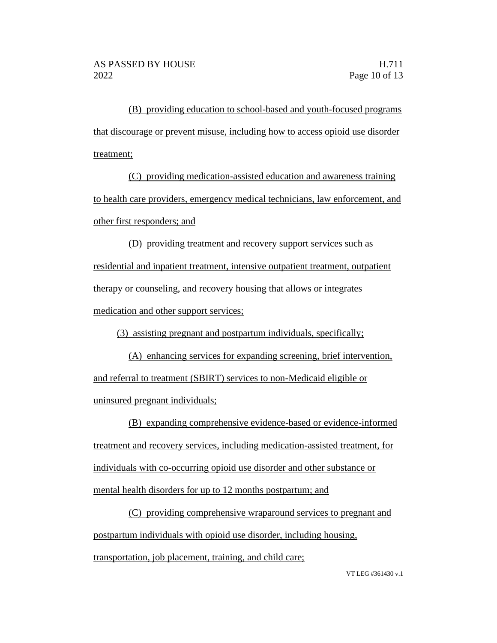(B) providing education to school-based and youth-focused programs that discourage or prevent misuse, including how to access opioid use disorder treatment;

(C) providing medication-assisted education and awareness training to health care providers, emergency medical technicians, law enforcement, and other first responders; and

(D) providing treatment and recovery support services such as residential and inpatient treatment, intensive outpatient treatment, outpatient therapy or counseling, and recovery housing that allows or integrates medication and other support services;

(3) assisting pregnant and postpartum individuals, specifically;

(A) enhancing services for expanding screening, brief intervention, and referral to treatment (SBIRT) services to non-Medicaid eligible or uninsured pregnant individuals;

(B) expanding comprehensive evidence-based or evidence-informed treatment and recovery services, including medication-assisted treatment, for individuals with co-occurring opioid use disorder and other substance or mental health disorders for up to 12 months postpartum; and

(C) providing comprehensive wraparound services to pregnant and postpartum individuals with opioid use disorder, including housing, transportation, job placement, training, and child care;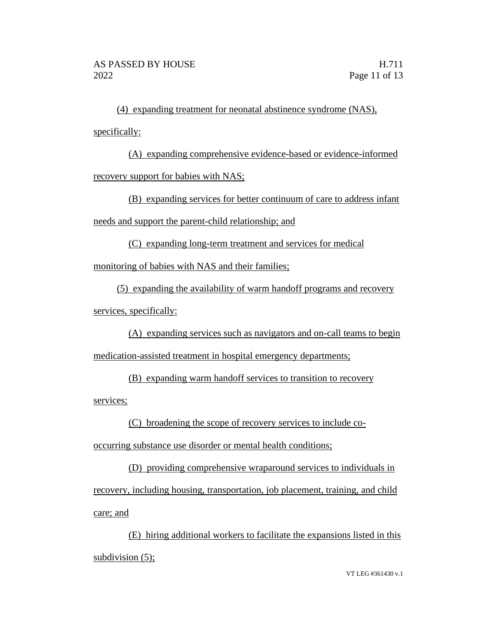(4) expanding treatment for neonatal abstinence syndrome (NAS), specifically:

(A) expanding comprehensive evidence-based or evidence-informed recovery support for babies with NAS;

(B) expanding services for better continuum of care to address infant needs and support the parent-child relationship; and

(C) expanding long-term treatment and services for medical

monitoring of babies with NAS and their families;

(5) expanding the availability of warm handoff programs and recovery services, specifically:

(A) expanding services such as navigators and on-call teams to begin medication-assisted treatment in hospital emergency departments;

(B) expanding warm handoff services to transition to recovery

services;

(C) broadening the scope of recovery services to include co-

occurring substance use disorder or mental health conditions;

(D) providing comprehensive wraparound services to individuals in recovery, including housing, transportation, job placement, training, and child care; and

(E) hiring additional workers to facilitate the expansions listed in this subdivision (5);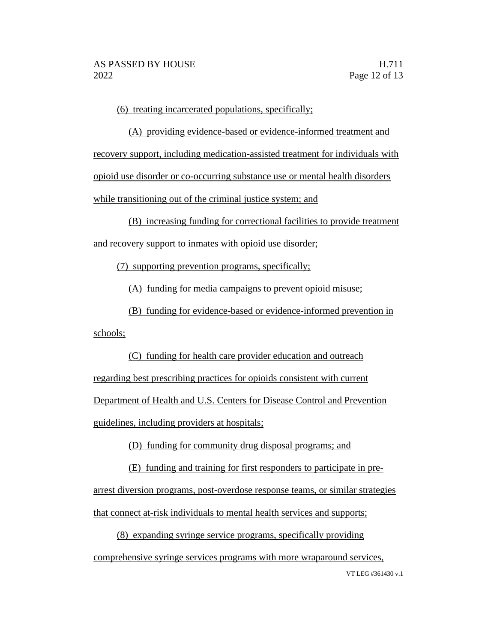(6) treating incarcerated populations, specifically;

(A) providing evidence-based or evidence-informed treatment and recovery support, including medication-assisted treatment for individuals with opioid use disorder or co-occurring substance use or mental health disorders while transitioning out of the criminal justice system; and

(B) increasing funding for correctional facilities to provide treatment and recovery support to inmates with opioid use disorder;

(7) supporting prevention programs, specifically;

(A) funding for media campaigns to prevent opioid misuse;

(B) funding for evidence-based or evidence-informed prevention in

schools;

(C) funding for health care provider education and outreach regarding best prescribing practices for opioids consistent with current Department of Health and U.S. Centers for Disease Control and Prevention guidelines, including providers at hospitals;

(D) funding for community drug disposal programs; and

(E) funding and training for first responders to participate in prearrest diversion programs, post-overdose response teams, or similar strategies that connect at-risk individuals to mental health services and supports;

VT LEG #361430 v.1 (8) expanding syringe service programs, specifically providing comprehensive syringe services programs with more wraparound services,